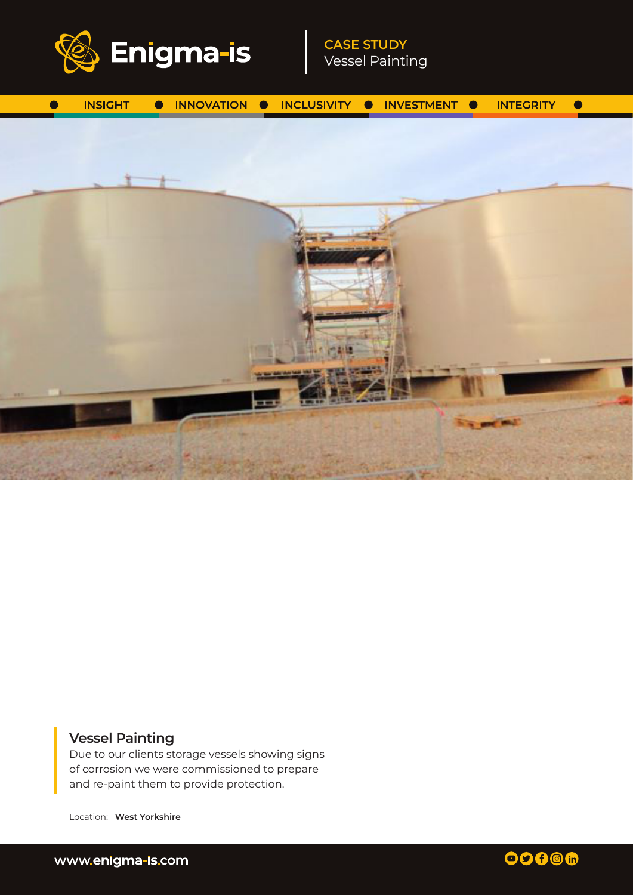

**CASE STUDY** Vessel Painting



# **Vessel Painting**

Due to our clients storage vessels showing signs of corrosion we were commissioned to prepare and re-paint them to provide protection.

Location: **West Yorkshire**